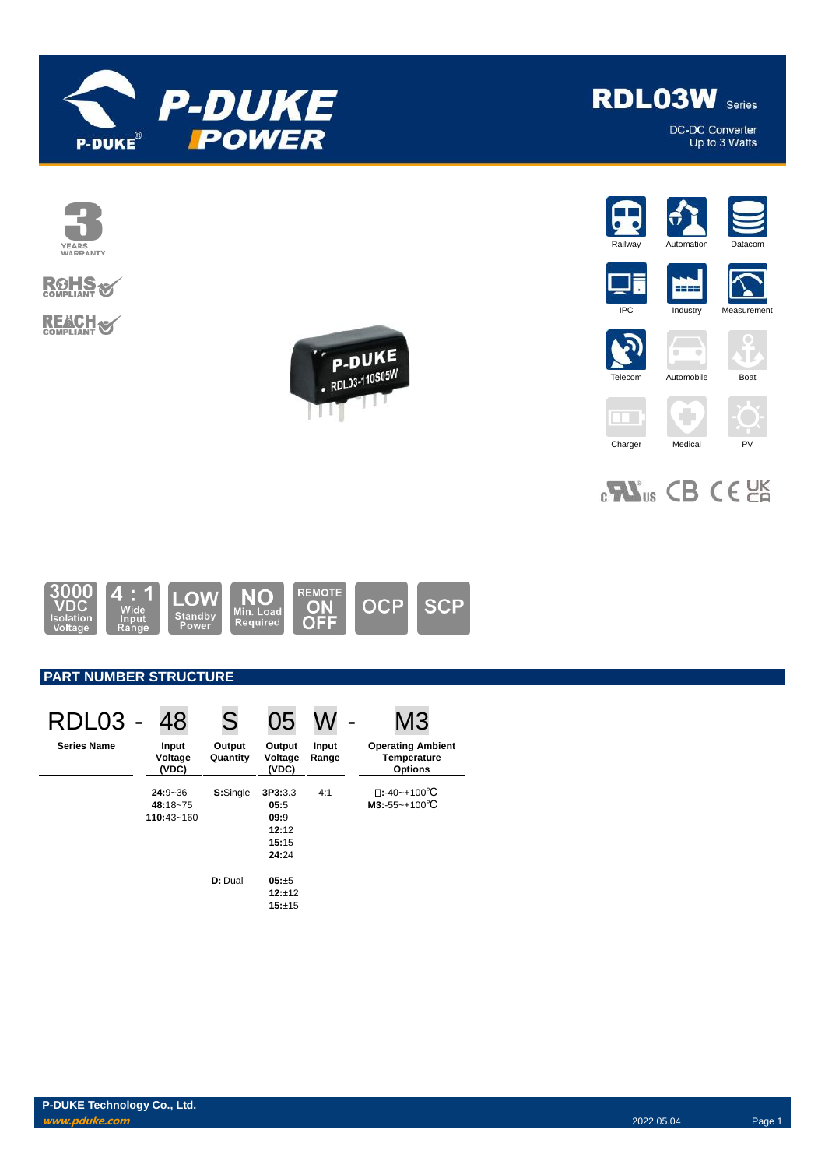



## **ROHS REACH S**





**RDL03W** Series



DC-DC Converter<br>Up to 3 Watts











2222

۰

# 



## **PART NUMBER STRUCTURE**

| RDL03 -            | 48                        | S                  | 05                         |                | M3                                                               |
|--------------------|---------------------------|--------------------|----------------------------|----------------|------------------------------------------------------------------|
| <b>Series Name</b> | Input<br>Voltage<br>(VDC) | Output<br>Quantity | Output<br>Voltage<br>(VDC) | Input<br>Range | <b>Operating Ambient</b><br><b>Temperature</b><br><b>Options</b> |
|                    | $24:9 - 36$<br>48:18~75   | S:Single           | 3P3:3.3<br>05:5            | 4:1            | $\square$ :-40~+100°C<br>$M3: -55 - +100^{\circ}C$               |
|                    | 110:43~160                |                    | 09:9<br>12:12              |                |                                                                  |
|                    |                           |                    | 15:15<br>24:24             |                |                                                                  |
|                    |                           | D: Dual            | 05:±5                      |                |                                                                  |
|                    |                           |                    | 12:±12<br>15:±15           |                |                                                                  |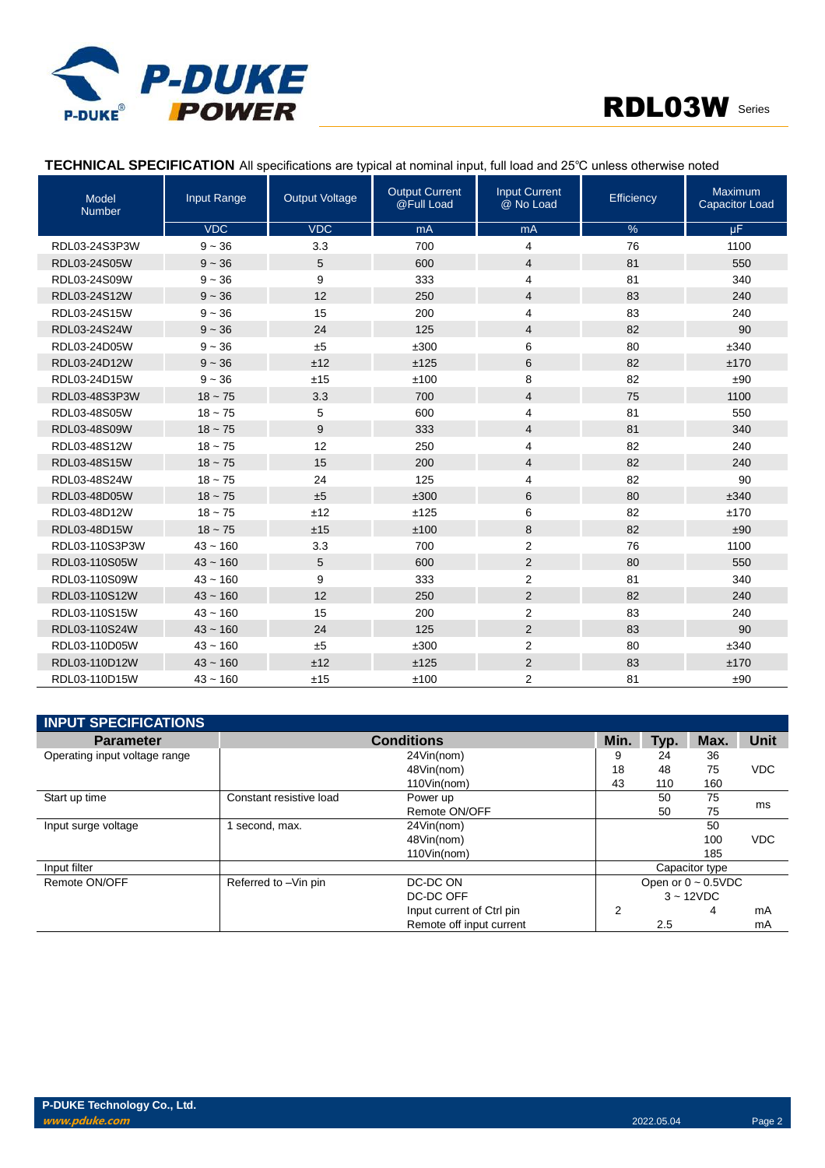



## **TECHNICAL SPECIFICATION** All specifications are typical at nominal input, full load and 25℃ unless otherwise noted

| Model<br><b>Number</b> | Input Range | <b>Output Voltage</b> | <b>Output Current</b><br>@Full Load | <b>Input Current</b><br>@ No Load | Efficiency | Maximum<br><b>Capacitor Load</b> |
|------------------------|-------------|-----------------------|-------------------------------------|-----------------------------------|------------|----------------------------------|
|                        | <b>VDC</b>  | <b>VDC</b>            | mA                                  | mA                                | %          | μF.                              |
| RDL03-24S3P3W          | $9 - 36$    | 3.3                   | 700                                 | 4                                 | 76         | 1100                             |
| RDL03-24S05W           | $9 - 36$    | 5                     | 600                                 | $\overline{4}$                    | 81         | 550                              |
| RDL03-24S09W           | $9 - 36$    | 9                     | 333                                 | $\overline{4}$                    | 81         | 340                              |
| RDL03-24S12W           | $9 - 36$    | 12                    | 250                                 | $\overline{4}$                    | 83         | 240                              |
| RDL03-24S15W           | $9 - 36$    | 15                    | 200                                 | $\overline{4}$                    | 83         | 240                              |
| RDL03-24S24W           | $9 - 36$    | 24                    | 125                                 | 4                                 | 82         | 90                               |
| RDL03-24D05W           | $9 - 36$    | $\pm 5$               | ±300                                | 6                                 | 80         | ±340                             |
| RDL03-24D12W           | $9 - 36$    | ±12                   | ±125                                | 6                                 | 82         | ±170                             |
| RDL03-24D15W           | $9 - 36$    | ±15                   | ±100                                | 8                                 | 82         | ±90                              |
| RDL03-48S3P3W          | $18 - 75$   | 3.3                   | 700                                 | $\overline{4}$                    | 75         | 1100                             |
| RDL03-48S05W           | $18 - 75$   | 5                     | 600                                 | $\overline{4}$                    | 81         | 550                              |
| RDL03-48S09W           | $18 - 75$   | 9                     | 333                                 | $\overline{4}$                    | 81         | 340                              |
| RDL03-48S12W           | $18 - 75$   | 12                    | 250                                 | 4                                 | 82         | 240                              |
| RDL03-48S15W           | $18 - 75$   | 15                    | 200                                 | $\overline{4}$                    | 82         | 240                              |
| RDL03-48S24W           | $18 - 75$   | 24                    | 125                                 | $\overline{4}$                    | 82         | 90                               |
| RDL03-48D05W           | $18 - 75$   | ±5                    | ±300                                | 6                                 | 80         | ±340                             |
| RDL03-48D12W           | $18 - 75$   | ±12                   | ±125                                | 6                                 | 82         | ±170                             |
| RDL03-48D15W           | $18 - 75$   | ±15                   | ±100                                | 8                                 | 82         | ±90                              |
| RDL03-110S3P3W         | $43 - 160$  | 3.3                   | 700                                 | $\overline{2}$                    | 76         | 1100                             |
| RDL03-110S05W          | $43 - 160$  | 5                     | 600                                 | $\overline{2}$                    | 80         | 550                              |
| RDL03-110S09W          | $43 - 160$  | 9                     | 333                                 | $\overline{2}$                    | 81         | 340                              |
| RDL03-110S12W          | $43 - 160$  | 12                    | 250                                 | $\overline{2}$                    | 82         | 240                              |
| RDL03-110S15W          | $43 - 160$  | 15                    | 200                                 | $\overline{2}$                    | 83         | 240                              |
| RDL03-110S24W          | $43 - 160$  | 24                    | 125                                 | $\overline{2}$                    | 83         | 90                               |
| RDL03-110D05W          | $43 - 160$  | ±5                    | ±300                                | 2                                 | 80         | ±340                             |
| RDL03-110D12W          | $43 - 160$  | ±12                   | ±125                                | 2                                 | 83         | ±170                             |
| RDL03-110D15W          | $43 - 160$  | ±15                   | ±100                                | $\overline{2}$                    | 81         | ±90                              |

| <b>INPUT SPECIFICATIONS</b>   |                         |                           |                |      |                          |            |
|-------------------------------|-------------------------|---------------------------|----------------|------|--------------------------|------------|
| <b>Parameter</b>              |                         | <b>Conditions</b>         | Min.           | Typ. | Max.                     | Unit       |
| Operating input voltage range |                         | 24Vin(nom)                | 9              | 24   | 36                       |            |
|                               |                         | 48Vin(nom)                | 18             | 48   | 75                       | <b>VDC</b> |
|                               |                         | 110Vin(nom)               | 43             | 110  | 160                      |            |
| Start up time                 | Constant resistive load | Power up                  |                | 50   | 75                       |            |
|                               |                         | Remote ON/OFF             |                | 50   | 75                       | ms         |
| Input surge voltage           | second, max.            | 24Vin(nom)                |                |      | 50                       |            |
|                               |                         | 48Vin(nom)                |                |      | 100                      | <b>VDC</b> |
|                               |                         | 110Vin(nom)               |                |      | 185                      |            |
| Input filter                  |                         |                           | Capacitor type |      |                          |            |
| Remote ON/OFF                 | Referred to -Vin pin    | DC-DC ON                  |                |      | Open or $0 \sim 0.5$ VDC |            |
|                               |                         | DC-DC OFF                 |                |      | $3 - 12VDC$              |            |
|                               |                         | Input current of Ctrl pin | $\overline{2}$ |      | 4                        | mA         |
|                               |                         | Remote off input current  |                | 2.5  |                          | mA         |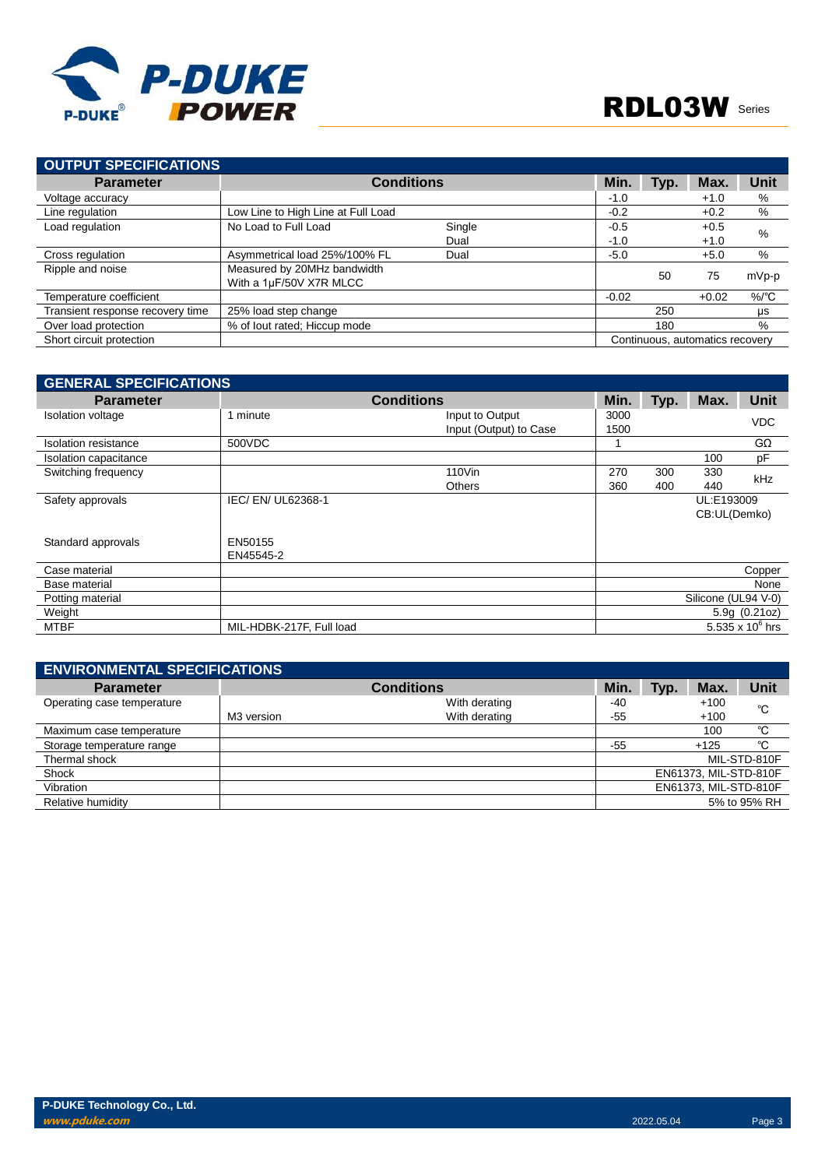

| OUTPUT SPECIFICATIONS            |                                                        |        |         |      |                                 |                  |
|----------------------------------|--------------------------------------------------------|--------|---------|------|---------------------------------|------------------|
| <b>Parameter</b>                 | <b>Conditions</b>                                      |        | Min.    | Typ. | Max.                            | Unit             |
| Voltage accuracy                 |                                                        |        | $-1.0$  |      | $+1.0$                          | %                |
| Line regulation                  | Low Line to High Line at Full Load                     |        | $-0.2$  |      | $+0.2$                          | %                |
| Load regulation                  | No Load to Full Load                                   | Single | $-0.5$  |      | $+0.5$                          | %                |
|                                  |                                                        | Dual   | $-1.0$  |      | $+1.0$                          |                  |
| Cross regulation                 | Asymmetrical load 25%/100% FL                          | Dual   | $-5.0$  |      | $+5.0$                          | %                |
| Ripple and noise                 | Measured by 20MHz bandwidth<br>With a 1µF/50V X7R MLCC |        |         | 50   | 75                              | mVp-p            |
| Temperature coefficient          |                                                        |        | $-0.02$ |      | $+0.02$                         | $%$ $^{\circ}$ C |
| Transient response recovery time | 25% load step change                                   |        |         | 250  |                                 | μs               |
| Over load protection             | % of lout rated; Hiccup mode                           |        |         | 180  |                                 | $\%$             |
| Short circuit protection         |                                                        |        |         |      | Continuous, automatics recovery |                  |

| <b>GENERAL SPECIFICATIONS</b> |                          |                                           |              |            |                            |                    |
|-------------------------------|--------------------------|-------------------------------------------|--------------|------------|----------------------------|--------------------|
| <b>Parameter</b>              |                          | <b>Conditions</b>                         | Min.         | Typ.       | Max.                       | <b>Unit</b>        |
| Isolation voltage             | 1 minute                 | Input to Output<br>Input (Output) to Case | 3000<br>1500 |            |                            | <b>VDC</b>         |
| Isolation resistance          | 500VDC                   |                                           |              |            |                            | $G\Omega$          |
| Isolation capacitance         |                          |                                           |              |            | 100                        | pF                 |
| Switching frequency           |                          | 110Vin<br><b>Others</b>                   | 270<br>360   | 300<br>400 | 330<br>440                 | <b>kHz</b>         |
| Safety approvals              | IEC/EN/UL62368-1         |                                           |              |            | UL:E193009<br>CB:UL(Demko) |                    |
| Standard approvals            | EN50155<br>EN45545-2     |                                           |              |            |                            |                    |
| Case material                 |                          |                                           |              |            |                            | Copper             |
| Base material                 |                          |                                           |              |            |                            | None               |
| Potting material              |                          |                                           |              |            | Silicone (UL94 V-0)        |                    |
| Weight                        |                          |                                           |              |            |                            | 5.9g(0.21oz)       |
| <b>MTBF</b>                   | MIL-HDBK-217F, Full load |                                           |              |            |                            | 5.535 x $10^6$ hrs |

| <b>ENVIRONMENTAL SPECIFICATIONS</b> |            |                   |       |      |                       |              |
|-------------------------------------|------------|-------------------|-------|------|-----------------------|--------------|
| <b>Parameter</b>                    |            | <b>Conditions</b> | Min.  | Typ. | Max.                  | Unit         |
| Operating case temperature          |            | With derating     | -40   |      | $+100$                | °C           |
|                                     | M3 version | With derating     | $-55$ |      | $+100$                |              |
| Maximum case temperature            |            |                   |       |      | 100                   | °C           |
| Storage temperature range           |            |                   | $-55$ |      | $+125$                | °C           |
| Thermal shock                       |            |                   |       |      |                       | MIL-STD-810F |
| Shock                               |            |                   |       |      | EN61373, MIL-STD-810F |              |
| Vibration                           |            |                   |       |      | EN61373, MIL-STD-810F |              |
| Relative humidity                   |            |                   |       |      |                       | 5% to 95% RH |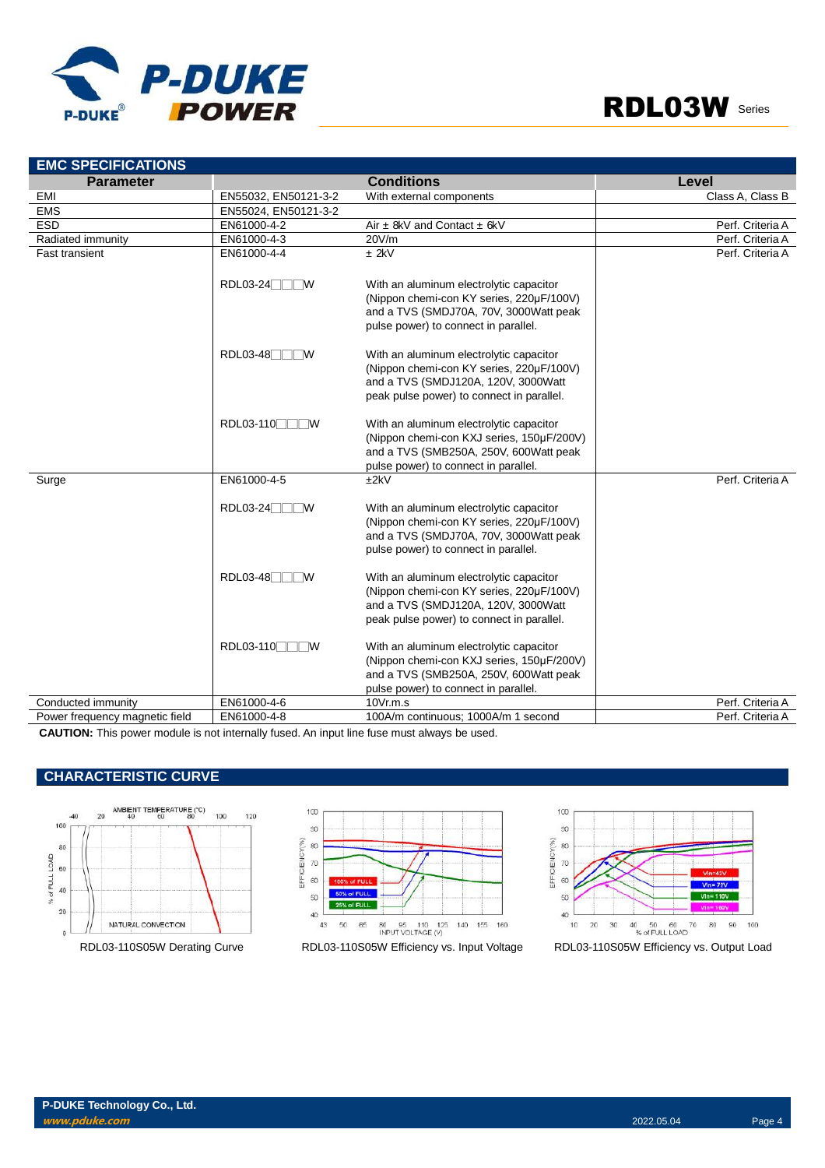

| <b>EMC SPECIFICATIONS</b>      |                        |                                                                                                                                                                         |                  |
|--------------------------------|------------------------|-------------------------------------------------------------------------------------------------------------------------------------------------------------------------|------------------|
| <b>Parameter</b>               |                        | <b>Conditions</b>                                                                                                                                                       | Level            |
| <b>EMI</b>                     | EN55032, EN50121-3-2   | With external components                                                                                                                                                | Class A, Class B |
| <b>EMS</b>                     | EN55024, EN50121-3-2   |                                                                                                                                                                         |                  |
| <b>ESD</b>                     | EN61000-4-2            | Air $\pm$ 8kV and Contact $\pm$ 6kV                                                                                                                                     | Perf. Criteria A |
| Radiated immunity              | EN61000-4-3            | 20V/m                                                                                                                                                                   | Perf. Criteria A |
| <b>Fast transient</b>          | EN61000-4-4            | $±$ 2kV                                                                                                                                                                 | Perf. Criteria A |
|                                | $RDL03-24$             | With an aluminum electrolytic capacitor<br>(Nippon chemi-con KY series, 220µF/100V)<br>and a TVS (SMDJ70A, 70V, 3000Watt peak<br>pulse power) to connect in parallel.   |                  |
|                                | $RDL03-48$<br><b>W</b> | With an aluminum electrolytic capacitor<br>(Nippon chemi-con KY series, 220µF/100V)<br>and a TVS (SMDJ120A, 120V, 3000Watt<br>peak pulse power) to connect in parallel. |                  |
|                                | RDL03-110              | With an aluminum electrolytic capacitor<br>(Nippon chemi-con KXJ series, 150µF/200V)<br>and a TVS (SMB250A, 250V, 600Watt peak<br>pulse power) to connect in parallel.  |                  |
| Surge                          | EN61000-4-5            | ±2kV                                                                                                                                                                    | Perf. Criteria A |
|                                | RDL03-24<br>™          | With an aluminum electrolytic capacitor<br>(Nippon chemi-con KY series, 220µF/100V)<br>and a TVS (SMDJ70A, 70V, 3000Watt peak<br>pulse power) to connect in parallel.   |                  |
|                                | $RDL03-48$<br><b>W</b> | With an aluminum electrolytic capacitor<br>(Nippon chemi-con KY series, 220µF/100V)<br>and a TVS (SMDJ120A, 120V, 3000Watt<br>peak pulse power) to connect in parallel. |                  |
|                                | RDL03-110              | With an aluminum electrolytic capacitor<br>(Nippon chemi-con KXJ series, 150µF/200V)<br>and a TVS (SMB250A, 250V, 600Watt peak<br>pulse power) to connect in parallel.  |                  |
| Conducted immunity             | EN61000-4-6            | 10Vr.m.s                                                                                                                                                                | Perf. Criteria A |
| Power frequency magnetic field | EN61000-4-8            | 100A/m continuous; 1000A/m 1 second                                                                                                                                     | Perf. Criteria A |

**CAUTION:** This power module is not internally fused. An input line fuse must always be used.

## **CHARACTERISTIC CURVE**





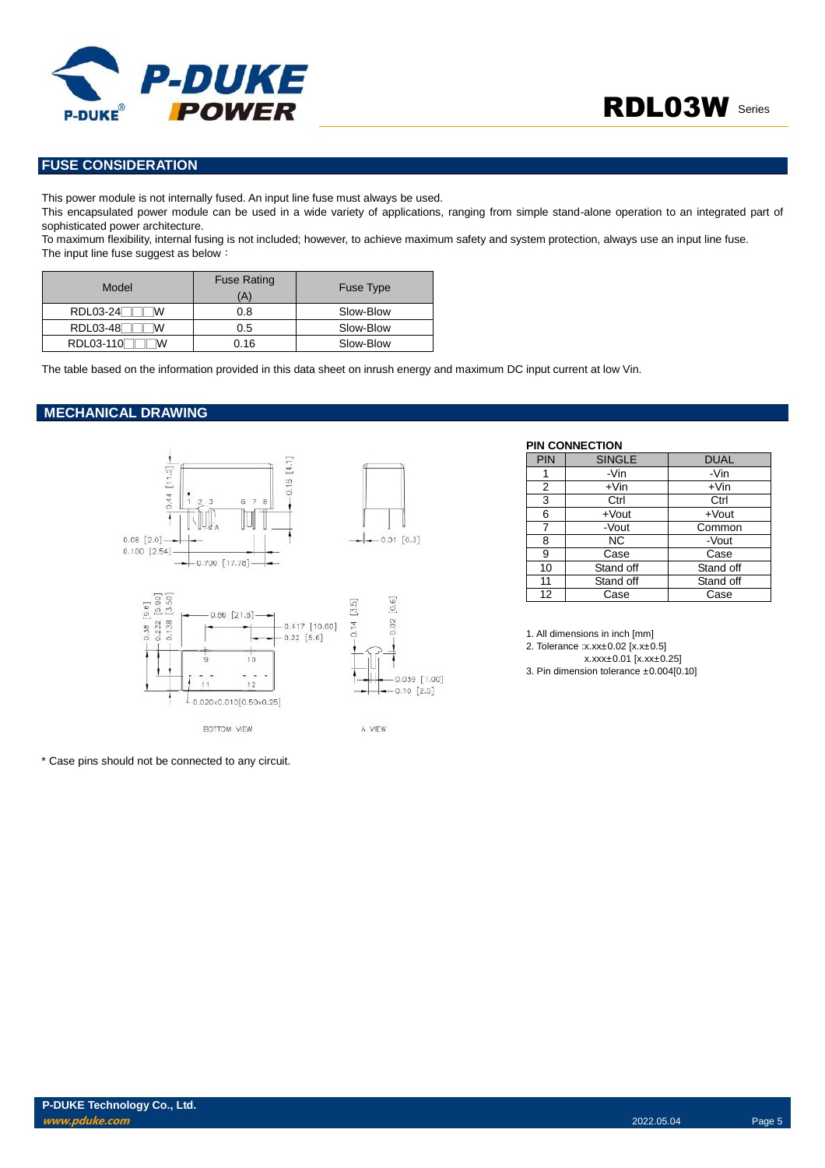

### **FUSE CONSIDERATION**

This power module is not internally fused. An input line fuse must always be used.

This encapsulated power module can be used in a wide variety of applications, ranging from simple stand-alone operation to an integrated part of sophisticated power architecture.

To maximum flexibility, internal fusing is not included; however, to achieve maximum safety and system protection, always use an input line fuse. The input line fuse suggest as below:

| Model                | <b>Fuse Rating</b><br>(A) | Fuse Type |
|----------------------|---------------------------|-----------|
| RDL03-24<br>w        | 0.8                       | Slow-Blow |
| <b>RDL03-48</b><br>w | 0.5                       | Slow-Blow |
| RDL03-110<br>w       | 0.16                      | Slow-Blow |

The table based on the information provided in this data sheet on inrush energy and maximum DC input current at low Vin.

#### **MECHANICAL DRAWING**



\* Case pins should not be connected to any circuit.

#### **PIN CONNECTION**

| <b>PIN</b> | <b>SINGLE</b> | <b>DUAL</b> |
|------------|---------------|-------------|
|            | -Vin          | -Vin        |
| 2          | $+V$ in       | $+V$ in     |
| 3          | Ctrl          | Ctrl        |
| 6          | $+$ Vout      | $+$ Vout    |
| 7          | -Vout         | Common      |
| 8          | NC.           | -Vout       |
| 9          | Case          | Case        |
| 10         | Stand off     | Stand off   |
| 11         | Stand off     | Stand off   |
| 12         | Case          | Case        |

1. All dimensions in inch [mm]

2. Tolerance :x.xx±0.02 [x.x±0.5]

x.xxx±0.01 [x.xx±0.25]

3. Pin dimension tolerance ±0.004[0.10]